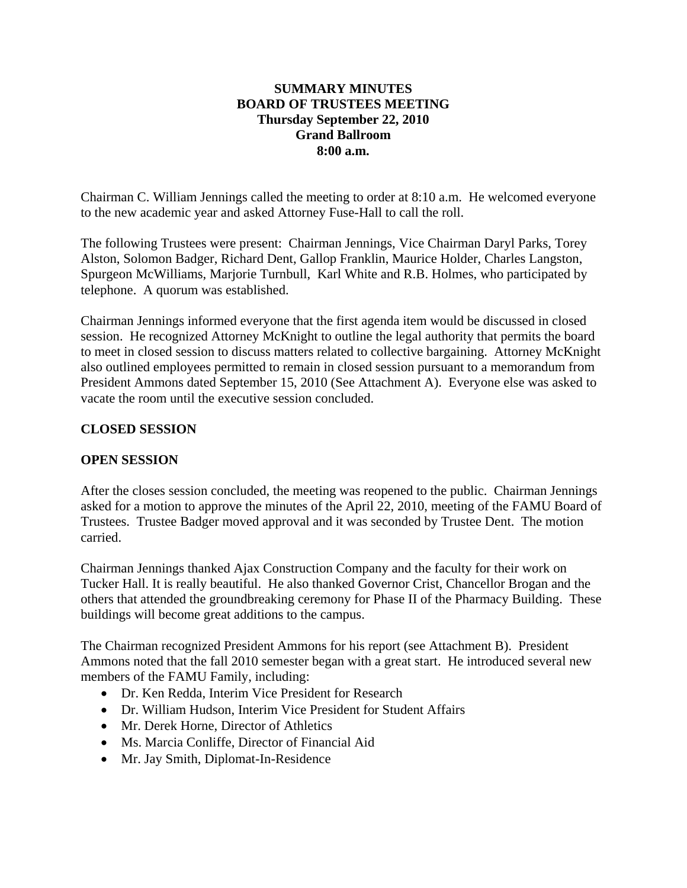#### **SUMMARY MINUTES BOARD OF TRUSTEES MEETING Thursday September 22, 2010 Grand Ballroom 8:00 a.m.**

Chairman C. William Jennings called the meeting to order at 8:10 a.m. He welcomed everyone to the new academic year and asked Attorney Fuse-Hall to call the roll.

The following Trustees were present: Chairman Jennings, Vice Chairman Daryl Parks, Torey Alston, Solomon Badger, Richard Dent, Gallop Franklin, Maurice Holder, Charles Langston, Spurgeon McWilliams, Marjorie Turnbull, Karl White and R.B. Holmes, who participated by telephone. A quorum was established.

Chairman Jennings informed everyone that the first agenda item would be discussed in closed session. He recognized Attorney McKnight to outline the legal authority that permits the board to meet in closed session to discuss matters related to collective bargaining. Attorney McKnight also outlined employees permitted to remain in closed session pursuant to a memorandum from President Ammons dated September 15, 2010 (See Attachment A). Everyone else was asked to vacate the room until the executive session concluded.

### **CLOSED SESSION**

### **OPEN SESSION**

After the closes session concluded, the meeting was reopened to the public. Chairman Jennings asked for a motion to approve the minutes of the April 22, 2010, meeting of the FAMU Board of Trustees. Trustee Badger moved approval and it was seconded by Trustee Dent. The motion carried.

Chairman Jennings thanked Ajax Construction Company and the faculty for their work on Tucker Hall. It is really beautiful. He also thanked Governor Crist, Chancellor Brogan and the others that attended the groundbreaking ceremony for Phase II of the Pharmacy Building. These buildings will become great additions to the campus.

The Chairman recognized President Ammons for his report (see Attachment B). President Ammons noted that the fall 2010 semester began with a great start. He introduced several new members of the FAMU Family, including:

- Dr. Ken Redda, Interim Vice President for Research
- Dr. William Hudson, Interim Vice President for Student Affairs
- Mr. Derek Horne, Director of Athletics
- Ms. Marcia Conliffe, Director of Financial Aid
- Mr. Jay Smith, Diplomat-In-Residence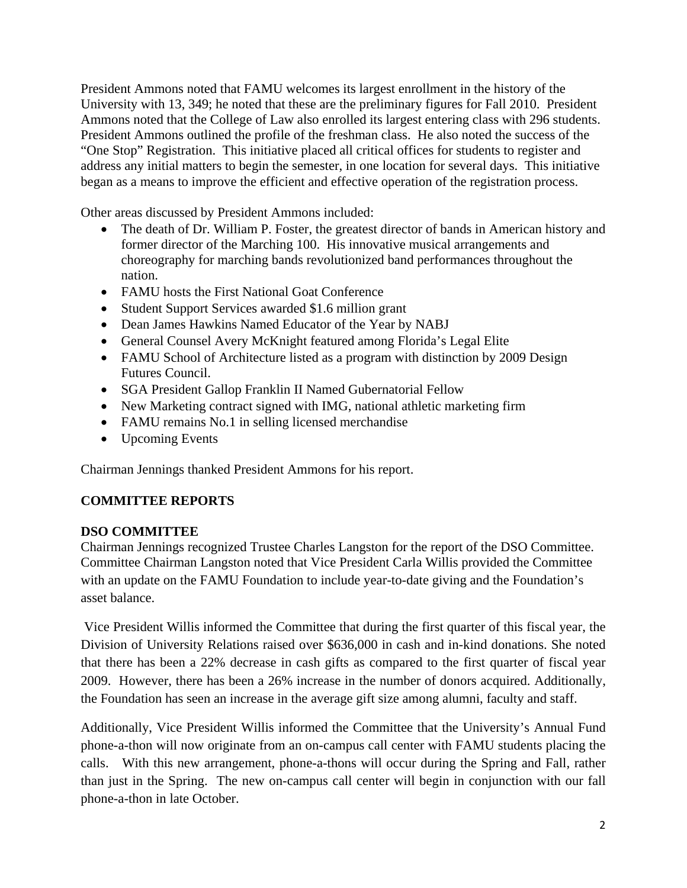President Ammons noted that FAMU welcomes its largest enrollment in the history of the University with 13, 349; he noted that these are the preliminary figures for Fall 2010. President Ammons noted that the College of Law also enrolled its largest entering class with 296 students. President Ammons outlined the profile of the freshman class. He also noted the success of the "One Stop" Registration. This initiative placed all critical offices for students to register and address any initial matters to begin the semester, in one location for several days. This initiative began as a means to improve the efficient and effective operation of the registration process.

Other areas discussed by President Ammons included:

- The death of Dr. William P. Foster, the greatest director of bands in American history and former director of the Marching 100. His innovative musical arrangements and choreography for marching bands revolutionized band performances throughout the nation.
- FAMU hosts the First National Goat Conference
- Student Support Services awarded \$1.6 million grant
- Dean James Hawkins Named Educator of the Year by NABJ
- General Counsel Avery McKnight featured among Florida's Legal Elite
- FAMU School of Architecture listed as a program with distinction by 2009 Design Futures Council.
- SGA President Gallop Franklin II Named Gubernatorial Fellow
- New Marketing contract signed with IMG, national athletic marketing firm
- FAMU remains No.1 in selling licensed merchandise
- Upcoming Events

Chairman Jennings thanked President Ammons for his report.

### **COMMITTEE REPORTS**

### **DSO COMMITTEE**

Chairman Jennings recognized Trustee Charles Langston for the report of the DSO Committee. Committee Chairman Langston noted that Vice President Carla Willis provided the Committee with an update on the FAMU Foundation to include year-to-date giving and the Foundation's asset balance.

 Vice President Willis informed the Committee that during the first quarter of this fiscal year, the Division of University Relations raised over \$636,000 in cash and in-kind donations. She noted that there has been a 22% decrease in cash gifts as compared to the first quarter of fiscal year 2009. However, there has been a 26% increase in the number of donors acquired. Additionally, the Foundation has seen an increase in the average gift size among alumni, faculty and staff.

Additionally, Vice President Willis informed the Committee that the University's Annual Fund phone-a-thon will now originate from an on-campus call center with FAMU students placing the calls. With this new arrangement, phone-a-thons will occur during the Spring and Fall, rather than just in the Spring. The new on-campus call center will begin in conjunction with our fall phone-a-thon in late October.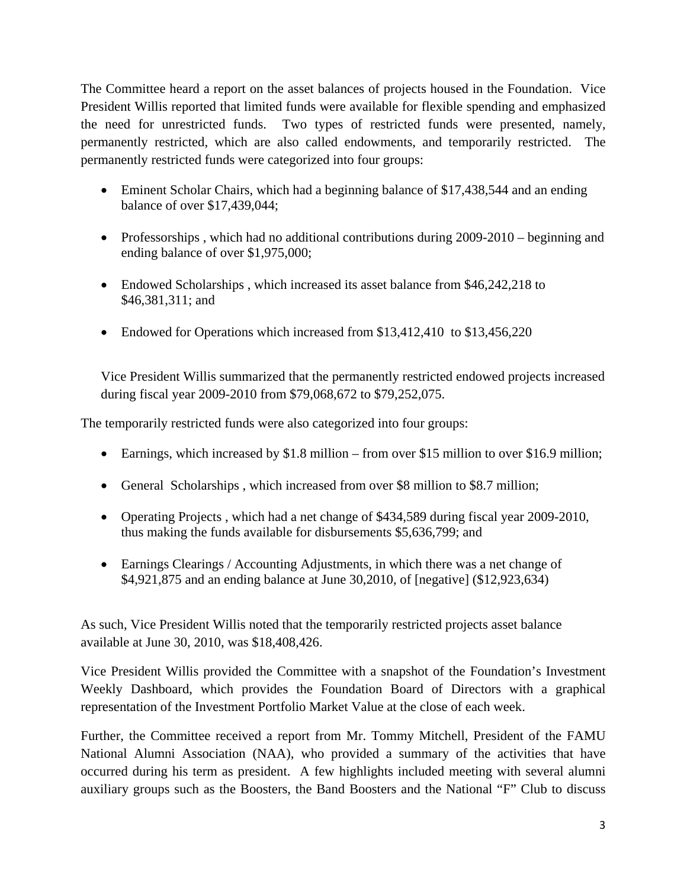The Committee heard a report on the asset balances of projects housed in the Foundation. Vice President Willis reported that limited funds were available for flexible spending and emphasized the need for unrestricted funds. Two types of restricted funds were presented, namely, permanently restricted, which are also called endowments, and temporarily restricted. The permanently restricted funds were categorized into four groups:

- Eminent Scholar Chairs, which had a beginning balance of \$17,438,544 and an ending balance of over \$17,439,044;
- Professorships, which had no additional contributions during 2009-2010 beginning and ending balance of over \$1,975,000;
- Endowed Scholarships, which increased its asset balance from \$46,242,218 to \$46,381,311; and
- Endowed for Operations which increased from \$13,412,410 to \$13,456,220

Vice President Willis summarized that the permanently restricted endowed projects increased during fiscal year 2009-2010 from \$79,068,672 to \$79,252,075.

The temporarily restricted funds were also categorized into four groups:

- Earnings, which increased by \$1.8 million from over \$15 million to over \$16.9 million;
- General Scholarships, which increased from over \$8 million to \$8.7 million;
- Operating Projects, which had a net change of \$434,589 during fiscal year 2009-2010, thus making the funds available for disbursements \$5,636,799; and
- Earnings Clearings / Accounting Adjustments, in which there was a net change of \$4,921,875 and an ending balance at June 30,2010, of [negative] (\$12,923,634)

As such, Vice President Willis noted that the temporarily restricted projects asset balance available at June 30, 2010, was \$18,408,426.

Vice President Willis provided the Committee with a snapshot of the Foundation's Investment Weekly Dashboard, which provides the Foundation Board of Directors with a graphical representation of the Investment Portfolio Market Value at the close of each week.

Further, the Committee received a report from Mr. Tommy Mitchell, President of the FAMU National Alumni Association (NAA), who provided a summary of the activities that have occurred during his term as president. A few highlights included meeting with several alumni auxiliary groups such as the Boosters, the Band Boosters and the National "F" Club to discuss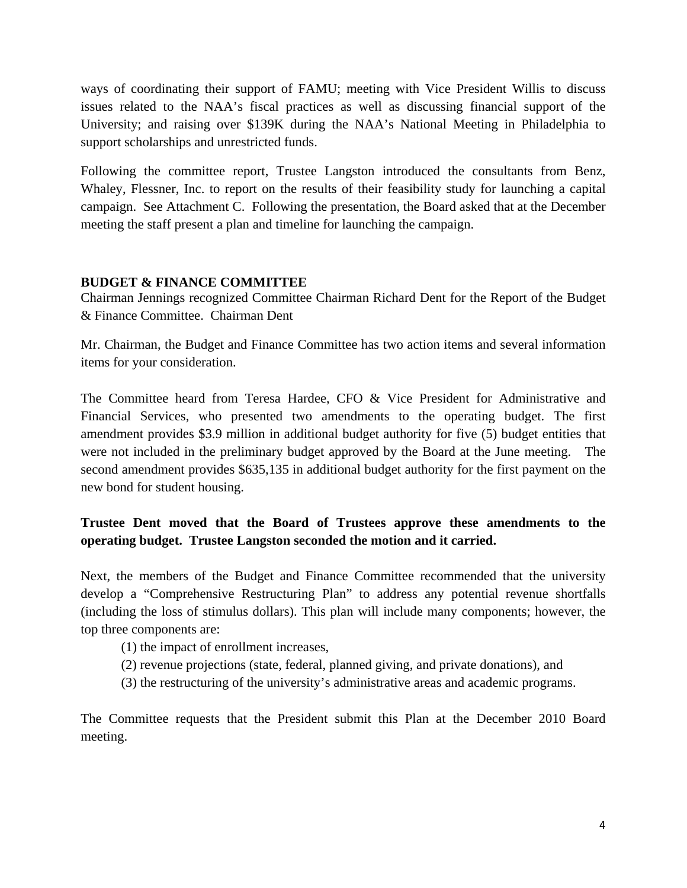ways of coordinating their support of FAMU; meeting with Vice President Willis to discuss issues related to the NAA's fiscal practices as well as discussing financial support of the University; and raising over \$139K during the NAA's National Meeting in Philadelphia to support scholarships and unrestricted funds.

Following the committee report, Trustee Langston introduced the consultants from Benz, Whaley, Flessner, Inc. to report on the results of their feasibility study for launching a capital campaign. See Attachment C. Following the presentation, the Board asked that at the December meeting the staff present a plan and timeline for launching the campaign.

#### **BUDGET & FINANCE COMMITTEE**

Chairman Jennings recognized Committee Chairman Richard Dent for the Report of the Budget & Finance Committee. Chairman Dent

Mr. Chairman, the Budget and Finance Committee has two action items and several information items for your consideration.

The Committee heard from Teresa Hardee, CFO & Vice President for Administrative and Financial Services, who presented two amendments to the operating budget. The first amendment provides \$3.9 million in additional budget authority for five (5) budget entities that were not included in the preliminary budget approved by the Board at the June meeting. The second amendment provides \$635,135 in additional budget authority for the first payment on the new bond for student housing.

## **Trustee Dent moved that the Board of Trustees approve these amendments to the operating budget. Trustee Langston seconded the motion and it carried.**

Next, the members of the Budget and Finance Committee recommended that the university develop a "Comprehensive Restructuring Plan" to address any potential revenue shortfalls (including the loss of stimulus dollars). This plan will include many components; however, the top three components are:

- (1) the impact of enrollment increases,
- (2) revenue projections (state, federal, planned giving, and private donations), and
- (3) the restructuring of the university's administrative areas and academic programs.

The Committee requests that the President submit this Plan at the December 2010 Board meeting.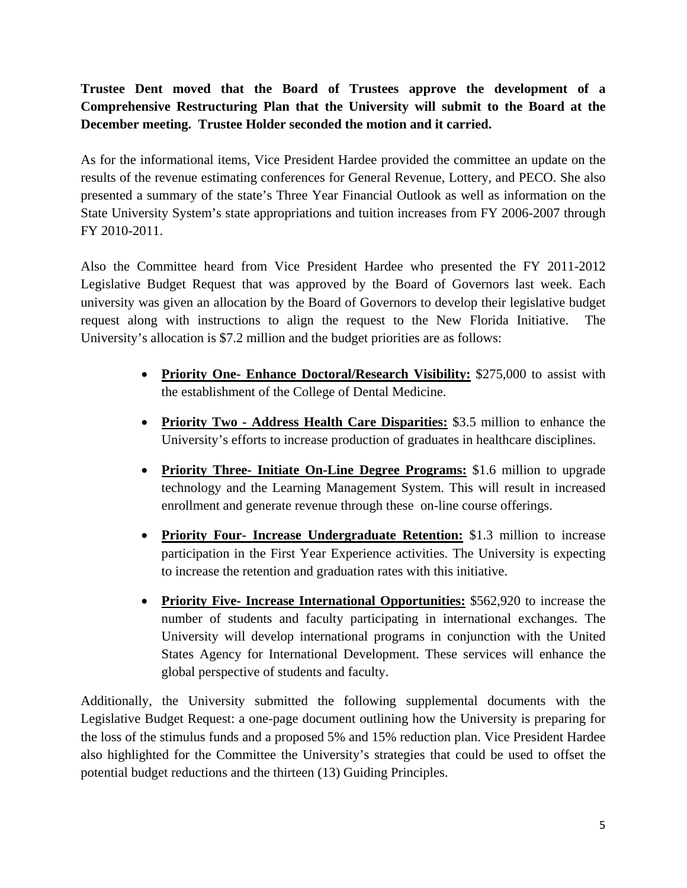# **Trustee Dent moved that the Board of Trustees approve the development of a Comprehensive Restructuring Plan that the University will submit to the Board at the December meeting. Trustee Holder seconded the motion and it carried.**

As for the informational items, Vice President Hardee provided the committee an update on the results of the revenue estimating conferences for General Revenue, Lottery, and PECO. She also presented a summary of the state's Three Year Financial Outlook as well as information on the State University System's state appropriations and tuition increases from FY 2006-2007 through FY 2010-2011.

Also the Committee heard from Vice President Hardee who presented the FY 2011-2012 Legislative Budget Request that was approved by the Board of Governors last week. Each university was given an allocation by the Board of Governors to develop their legislative budget request along with instructions to align the request to the New Florida Initiative. The University's allocation is \$7.2 million and the budget priorities are as follows:

- **Priority One- Enhance Doctoral/Research Visibility:** \$275,000 to assist with the establishment of the College of Dental Medicine.
- **Priority Two Address Health Care Disparities:** \$3.5 million to enhance the University's efforts to increase production of graduates in healthcare disciplines.
- **Priority Three- Initiate On-Line Degree Programs:** \$1.6 million to upgrade technology and the Learning Management System. This will result in increased enrollment and generate revenue through these on-line course offerings.
- **Priority Four- Increase Undergraduate Retention:** \$1.3 million to increase participation in the First Year Experience activities. The University is expecting to increase the retention and graduation rates with this initiative.
- **Priority Five- Increase International Opportunities:** \$562,920 to increase the number of students and faculty participating in international exchanges. The University will develop international programs in conjunction with the United States Agency for International Development. These services will enhance the global perspective of students and faculty.

Additionally, the University submitted the following supplemental documents with the Legislative Budget Request: a one-page document outlining how the University is preparing for the loss of the stimulus funds and a proposed 5% and 15% reduction plan. Vice President Hardee also highlighted for the Committee the University's strategies that could be used to offset the potential budget reductions and the thirteen (13) Guiding Principles.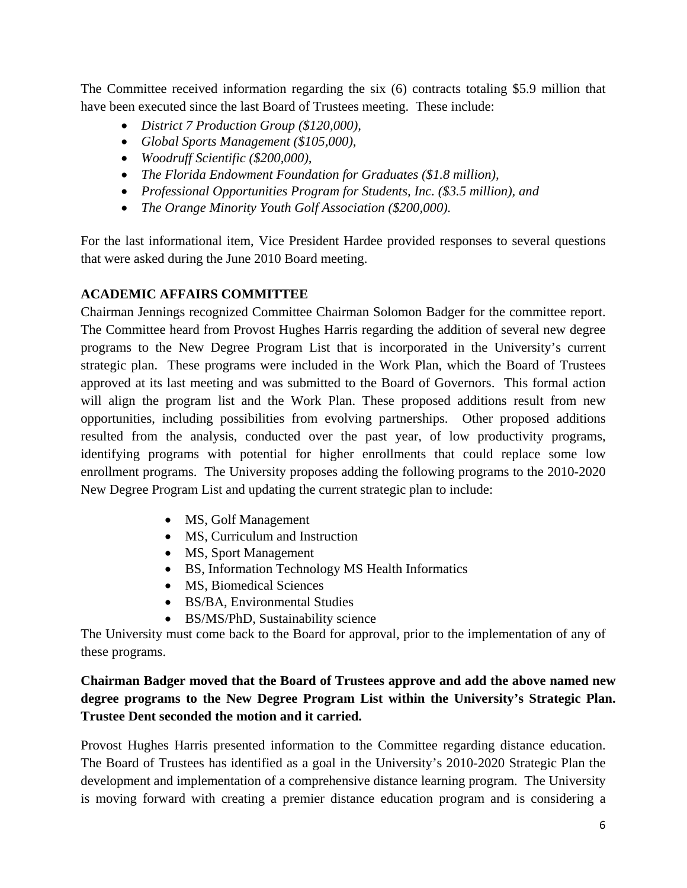The Committee received information regarding the six (6) contracts totaling \$5.9 million that have been executed since the last Board of Trustees meeting. These include:

- *District 7 Production Group (\$120,000),*
- *Global Sports Management (\$105,000),*
- *Woodruff Scientific (\$200,000),*
- *The Florida Endowment Foundation for Graduates (\$1.8 million),*
- *Professional Opportunities Program for Students, Inc. (\$3.5 million), and*
- *The Orange Minority Youth Golf Association (\$200,000).*

For the last informational item, Vice President Hardee provided responses to several questions that were asked during the June 2010 Board meeting.

# **ACADEMIC AFFAIRS COMMITTEE**

Chairman Jennings recognized Committee Chairman Solomon Badger for the committee report. The Committee heard from Provost Hughes Harris regarding the addition of several new degree programs to the New Degree Program List that is incorporated in the University's current strategic plan. These programs were included in the Work Plan, which the Board of Trustees approved at its last meeting and was submitted to the Board of Governors. This formal action will align the program list and the Work Plan. These proposed additions result from new opportunities, including possibilities from evolving partnerships. Other proposed additions resulted from the analysis, conducted over the past year, of low productivity programs, identifying programs with potential for higher enrollments that could replace some low enrollment programs. The University proposes adding the following programs to the 2010-2020 New Degree Program List and updating the current strategic plan to include:

- MS, Golf Management
- MS, Curriculum and Instruction
- MS, Sport Management
- BS, Information Technology MS Health Informatics
- MS, Biomedical Sciences
- BS/BA, Environmental Studies
- BS/MS/PhD, Sustainability science

The University must come back to the Board for approval, prior to the implementation of any of these programs.

# **Chairman Badger moved that the Board of Trustees approve and add the above named new degree programs to the New Degree Program List within the University's Strategic Plan. Trustee Dent seconded the motion and it carried.**

Provost Hughes Harris presented information to the Committee regarding distance education. The Board of Trustees has identified as a goal in the University's 2010-2020 Strategic Plan the development and implementation of a comprehensive distance learning program. The University is moving forward with creating a premier distance education program and is considering a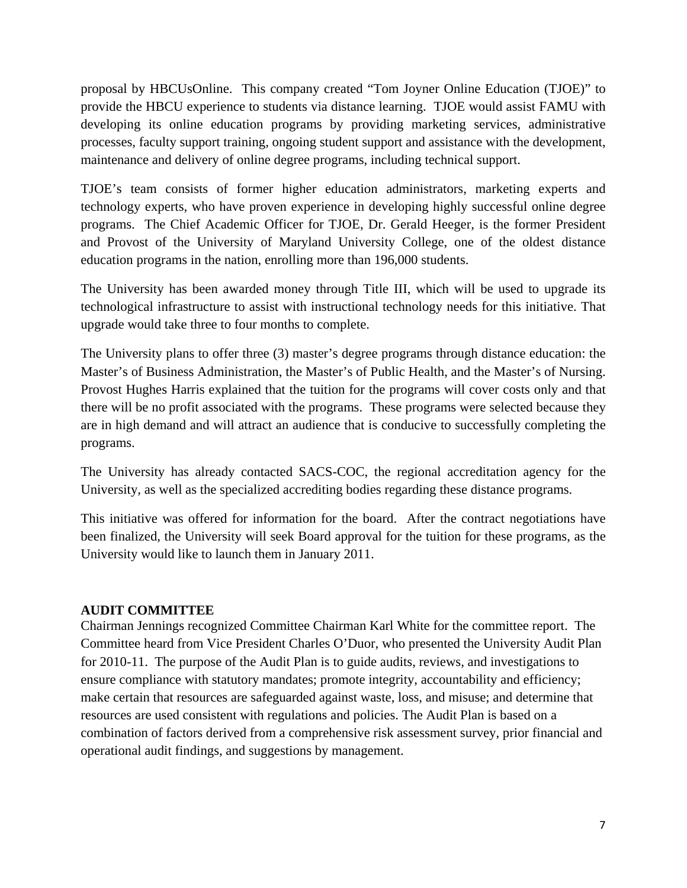proposal by HBCUsOnline. This company created "Tom Joyner Online Education (TJOE)" to provide the HBCU experience to students via distance learning. TJOE would assist FAMU with developing its online education programs by providing marketing services, administrative processes, faculty support training, ongoing student support and assistance with the development, maintenance and delivery of online degree programs, including technical support.

TJOE's team consists of former higher education administrators, marketing experts and technology experts, who have proven experience in developing highly successful online degree programs. The Chief Academic Officer for TJOE, Dr. Gerald Heeger, is the former President and Provost of the University of Maryland University College, one of the oldest distance education programs in the nation, enrolling more than 196,000 students.

The University has been awarded money through Title III, which will be used to upgrade its technological infrastructure to assist with instructional technology needs for this initiative. That upgrade would take three to four months to complete.

The University plans to offer three (3) master's degree programs through distance education: the Master's of Business Administration, the Master's of Public Health, and the Master's of Nursing. Provost Hughes Harris explained that the tuition for the programs will cover costs only and that there will be no profit associated with the programs. These programs were selected because they are in high demand and will attract an audience that is conducive to successfully completing the programs.

The University has already contacted SACS-COC, the regional accreditation agency for the University, as well as the specialized accrediting bodies regarding these distance programs.

This initiative was offered for information for the board. After the contract negotiations have been finalized, the University will seek Board approval for the tuition for these programs, as the University would like to launch them in January 2011.

### **AUDIT COMMITTEE**

Chairman Jennings recognized Committee Chairman Karl White for the committee report. The Committee heard from Vice President Charles O'Duor, who presented the University Audit Plan for 2010-11. The purpose of the Audit Plan is to guide audits, reviews, and investigations to ensure compliance with statutory mandates; promote integrity, accountability and efficiency; make certain that resources are safeguarded against waste, loss, and misuse; and determine that resources are used consistent with regulations and policies. The Audit Plan is based on a combination of factors derived from a comprehensive risk assessment survey, prior financial and operational audit findings, and suggestions by management.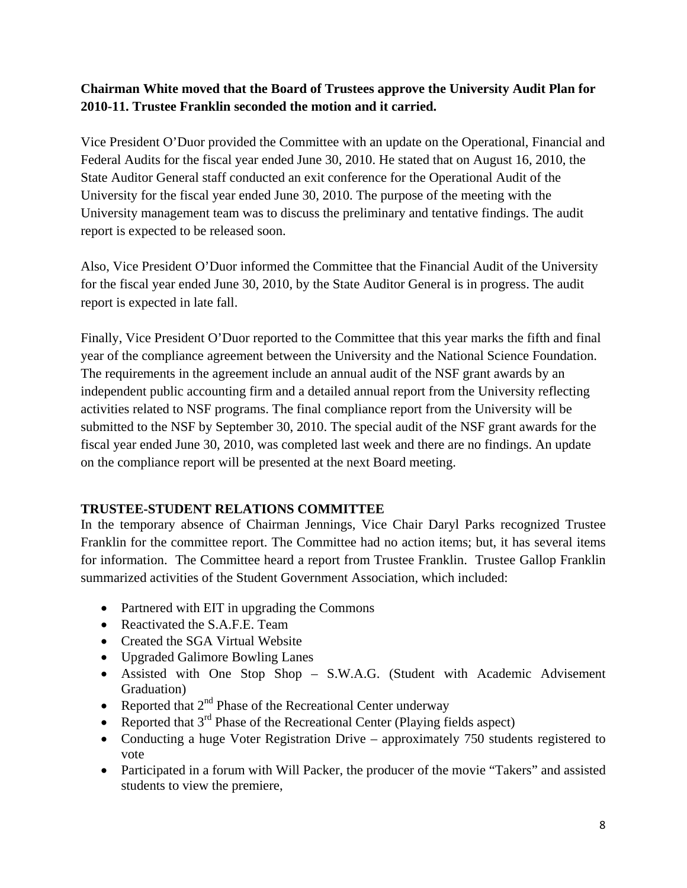## **Chairman White moved that the Board of Trustees approve the University Audit Plan for 2010-11. Trustee Franklin seconded the motion and it carried.**

Vice President O'Duor provided the Committee with an update on the Operational, Financial and Federal Audits for the fiscal year ended June 30, 2010. He stated that on August 16, 2010, the State Auditor General staff conducted an exit conference for the Operational Audit of the University for the fiscal year ended June 30, 2010. The purpose of the meeting with the University management team was to discuss the preliminary and tentative findings. The audit report is expected to be released soon.

Also, Vice President O'Duor informed the Committee that the Financial Audit of the University for the fiscal year ended June 30, 2010, by the State Auditor General is in progress. The audit report is expected in late fall.

Finally, Vice President O'Duor reported to the Committee that this year marks the fifth and final year of the compliance agreement between the University and the National Science Foundation. The requirements in the agreement include an annual audit of the NSF grant awards by an independent public accounting firm and a detailed annual report from the University reflecting activities related to NSF programs. The final compliance report from the University will be submitted to the NSF by September 30, 2010. The special audit of the NSF grant awards for the fiscal year ended June 30, 2010, was completed last week and there are no findings. An update on the compliance report will be presented at the next Board meeting.

## **TRUSTEE-STUDENT RELATIONS COMMITTEE**

In the temporary absence of Chairman Jennings, Vice Chair Daryl Parks recognized Trustee Franklin for the committee report. The Committee had no action items; but, it has several items for information. The Committee heard a report from Trustee Franklin. Trustee Gallop Franklin summarized activities of the Student Government Association, which included:

- Partnered with EIT in upgrading the Commons
- Reactivated the S.A.F.E. Team
- Created the SGA Virtual Website
- Upgraded Galimore Bowling Lanes
- Assisted with One Stop Shop S.W.A.G. (Student with Academic Advisement Graduation)
- Reported that  $2<sup>nd</sup>$  Phase of the Recreational Center underway
- Reported that  $3<sup>rd</sup>$  Phase of the Recreational Center (Playing fields aspect)
- Conducting a huge Voter Registration Drive approximately 750 students registered to vote
- Participated in a forum with Will Packer, the producer of the movie "Takers" and assisted students to view the premiere,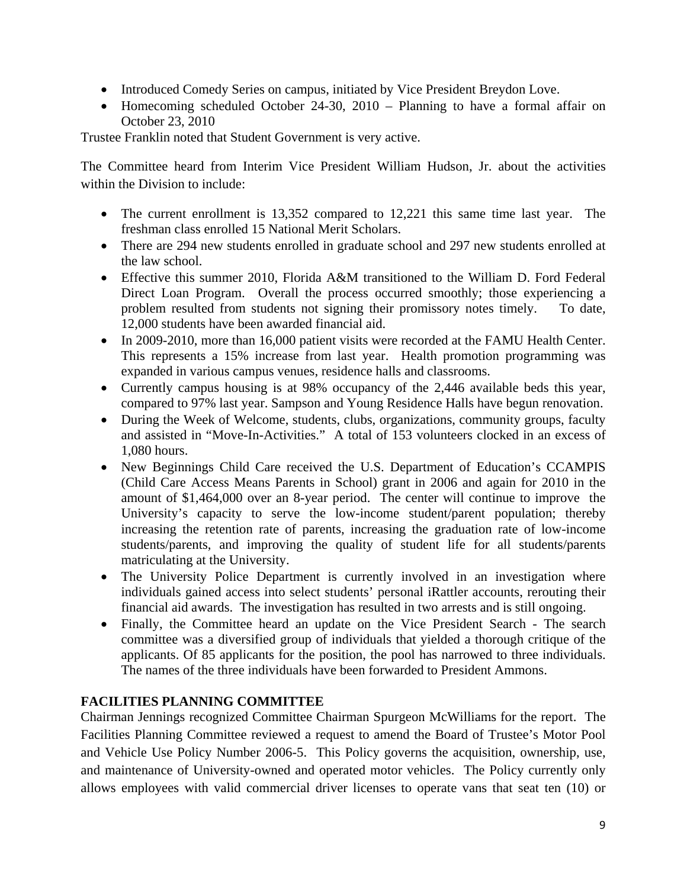- Introduced Comedy Series on campus, initiated by Vice President Breydon Love.
- Homecoming scheduled October 24-30, 2010 Planning to have a formal affair on October 23, 2010

Trustee Franklin noted that Student Government is very active.

The Committee heard from Interim Vice President William Hudson, Jr. about the activities within the Division to include:

- The current enrollment is 13,352 compared to 12,221 this same time last year. The freshman class enrolled 15 National Merit Scholars.
- There are 294 new students enrolled in graduate school and 297 new students enrolled at the law school.
- Effective this summer 2010, Florida A&M transitioned to the William D. Ford Federal Direct Loan Program. Overall the process occurred smoothly; those experiencing a problem resulted from students not signing their promissory notes timely. To date, 12,000 students have been awarded financial aid.
- In 2009-2010, more than 16,000 patient visits were recorded at the FAMU Health Center. This represents a 15% increase from last year. Health promotion programming was expanded in various campus venues, residence halls and classrooms.
- Currently campus housing is at 98% occupancy of the 2,446 available beds this year, compared to 97% last year. Sampson and Young Residence Halls have begun renovation.
- During the Week of Welcome, students, clubs, organizations, community groups, faculty and assisted in "Move-In-Activities." A total of 153 volunteers clocked in an excess of 1,080 hours.
- New Beginnings Child Care received the U.S. Department of Education's CCAMPIS (Child Care Access Means Parents in School) grant in 2006 and again for 2010 in the amount of \$1,464,000 over an 8-year period. The center will continue to improve the University's capacity to serve the low-income student/parent population; thereby increasing the retention rate of parents, increasing the graduation rate of low-income students/parents, and improving the quality of student life for all students/parents matriculating at the University.
- The University Police Department is currently involved in an investigation where individuals gained access into select students' personal iRattler accounts, rerouting their financial aid awards. The investigation has resulted in two arrests and is still ongoing.
- Finally, the Committee heard an update on the Vice President Search The search committee was a diversified group of individuals that yielded a thorough critique of the applicants. Of 85 applicants for the position, the pool has narrowed to three individuals. The names of the three individuals have been forwarded to President Ammons.

## **FACILITIES PLANNING COMMITTEE**

Chairman Jennings recognized Committee Chairman Spurgeon McWilliams for the report. The Facilities Planning Committee reviewed a request to amend the Board of Trustee's Motor Pool and Vehicle Use Policy Number 2006-5. This Policy governs the acquisition, ownership, use, and maintenance of University-owned and operated motor vehicles. The Policy currently only allows employees with valid commercial driver licenses to operate vans that seat ten (10) or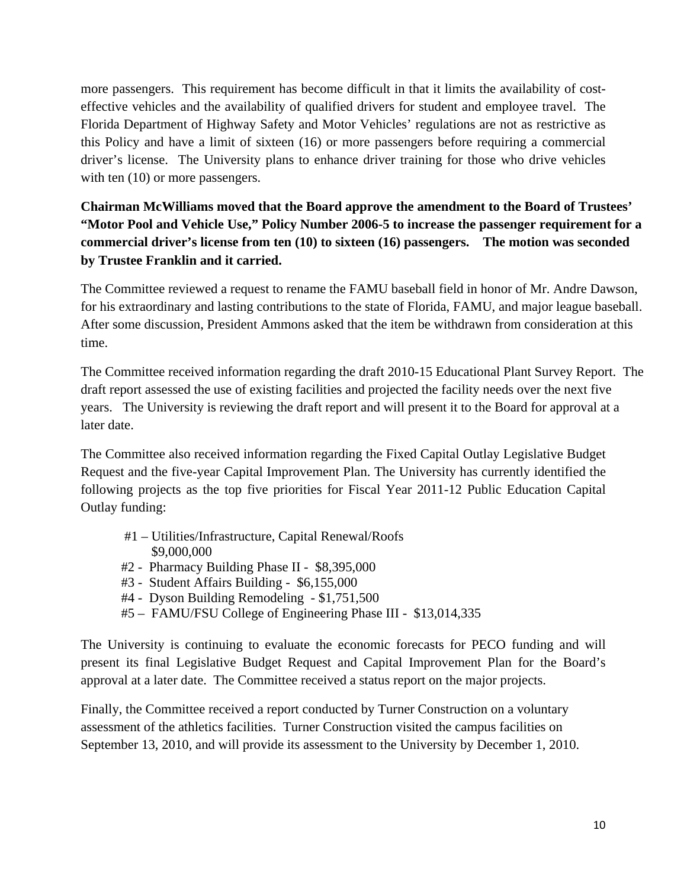more passengers. This requirement has become difficult in that it limits the availability of costeffective vehicles and the availability of qualified drivers for student and employee travel. The Florida Department of Highway Safety and Motor Vehicles' regulations are not as restrictive as this Policy and have a limit of sixteen (16) or more passengers before requiring a commercial driver's license. The University plans to enhance driver training for those who drive vehicles with ten  $(10)$  or more passengers.

**Chairman McWilliams moved that the Board approve the amendment to the Board of Trustees' "Motor Pool and Vehicle Use," Policy Number 2006-5 to increase the passenger requirement for a commercial driver's license from ten (10) to sixteen (16) passengers. The motion was seconded by Trustee Franklin and it carried.** 

The Committee reviewed a request to rename the FAMU baseball field in honor of Mr. Andre Dawson, for his extraordinary and lasting contributions to the state of Florida, FAMU, and major league baseball. After some discussion, President Ammons asked that the item be withdrawn from consideration at this time.

The Committee received information regarding the draft 2010-15 Educational Plant Survey Report. The draft report assessed the use of existing facilities and projected the facility needs over the next five years. The University is reviewing the draft report and will present it to the Board for approval at a later date.

The Committee also received information regarding the Fixed Capital Outlay Legislative Budget Request and the five-year Capital Improvement Plan. The University has currently identified the following projects as the top five priorities for Fiscal Year 2011-12 Public Education Capital Outlay funding:

- #1 Utilities/Infrastructure, Capital Renewal/Roofs \$9,000,000
- #2 Pharmacy Building Phase II \$8,395,000
- #3 Student Affairs Building \$6,155,000
- #4 Dyson Building Remodeling \$1,751,500
- #5 FAMU/FSU College of Engineering Phase III \$13,014,335

The University is continuing to evaluate the economic forecasts for PECO funding and will present its final Legislative Budget Request and Capital Improvement Plan for the Board's approval at a later date. The Committee received a status report on the major projects.

Finally, the Committee received a report conducted by Turner Construction on a voluntary assessment of the athletics facilities. Turner Construction visited the campus facilities on September 13, 2010, and will provide its assessment to the University by December 1, 2010.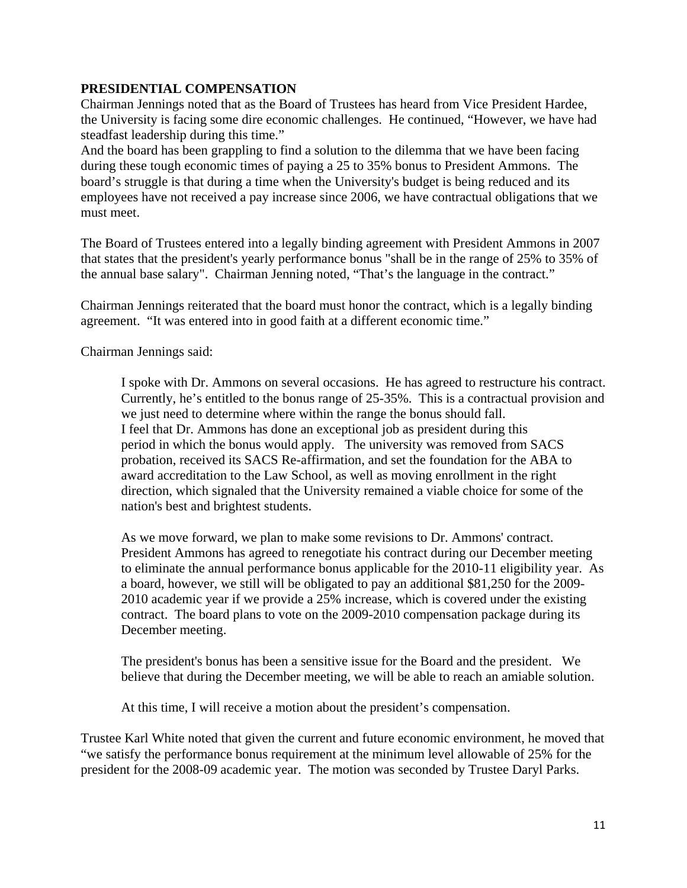### **PRESIDENTIAL COMPENSATION**

Chairman Jennings noted that as the Board of Trustees has heard from Vice President Hardee, the University is facing some dire economic challenges. He continued, "However, we have had steadfast leadership during this time."

And the board has been grappling to find a solution to the dilemma that we have been facing during these tough economic times of paying a 25 to 35% bonus to President Ammons. The board's struggle is that during a time when the University's budget is being reduced and its employees have not received a pay increase since 2006, we have contractual obligations that we must meet.

The Board of Trustees entered into a legally binding agreement with President Ammons in 2007 that states that the president's yearly performance bonus "shall be in the range of 25% to 35% of the annual base salary". Chairman Jenning noted, "That's the language in the contract."

Chairman Jennings reiterated that the board must honor the contract, which is a legally binding agreement. "It was entered into in good faith at a different economic time."

Chairman Jennings said:

I spoke with Dr. Ammons on several occasions. He has agreed to restructure his contract. Currently, he's entitled to the bonus range of 25-35%. This is a contractual provision and we just need to determine where within the range the bonus should fall. I feel that Dr. Ammons has done an exceptional job as president during this period in which the bonus would apply. The university was removed from SACS probation, received its SACS Re-affirmation, and set the foundation for the ABA to award accreditation to the Law School, as well as moving enrollment in the right direction, which signaled that the University remained a viable choice for some of the nation's best and brightest students.

As we move forward, we plan to make some revisions to Dr. Ammons' contract. President Ammons has agreed to renegotiate his contract during our December meeting to eliminate the annual performance bonus applicable for the 2010-11 eligibility year. As a board, however, we still will be obligated to pay an additional \$81,250 for the 2009- 2010 academic year if we provide a 25% increase, which is covered under the existing contract. The board plans to vote on the 2009-2010 compensation package during its December meeting.

The president's bonus has been a sensitive issue for the Board and the president. We believe that during the December meeting, we will be able to reach an amiable solution.

At this time, I will receive a motion about the president's compensation.

Trustee Karl White noted that given the current and future economic environment, he moved that "we satisfy the performance bonus requirement at the minimum level allowable of 25% for the president for the 2008-09 academic year. The motion was seconded by Trustee Daryl Parks.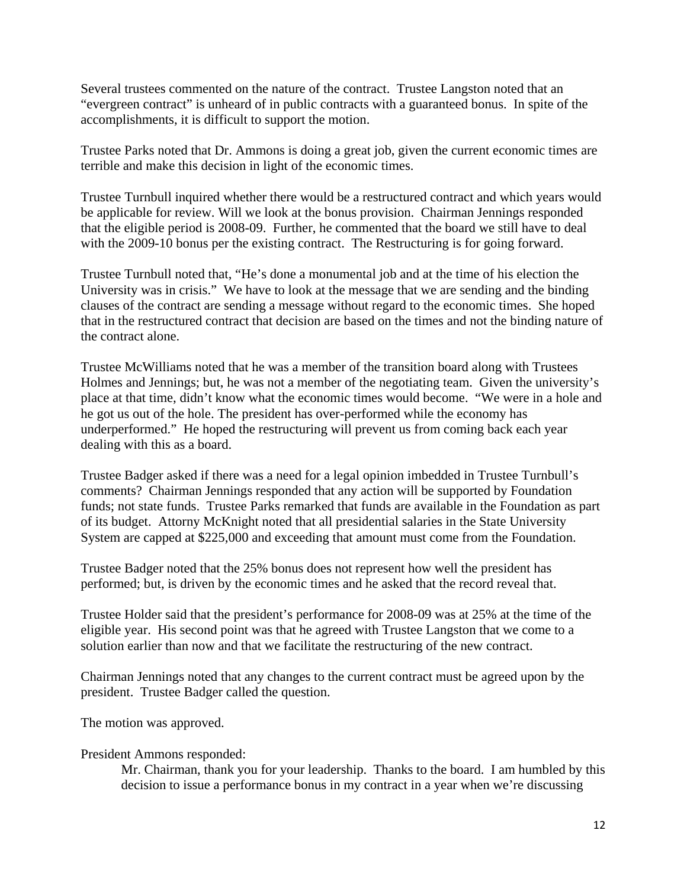Several trustees commented on the nature of the contract. Trustee Langston noted that an "evergreen contract" is unheard of in public contracts with a guaranteed bonus. In spite of the accomplishments, it is difficult to support the motion.

Trustee Parks noted that Dr. Ammons is doing a great job, given the current economic times are terrible and make this decision in light of the economic times.

Trustee Turnbull inquired whether there would be a restructured contract and which years would be applicable for review. Will we look at the bonus provision. Chairman Jennings responded that the eligible period is 2008-09. Further, he commented that the board we still have to deal with the 2009-10 bonus per the existing contract. The Restructuring is for going forward.

Trustee Turnbull noted that, "He's done a monumental job and at the time of his election the University was in crisis." We have to look at the message that we are sending and the binding clauses of the contract are sending a message without regard to the economic times. She hoped that in the restructured contract that decision are based on the times and not the binding nature of the contract alone.

Trustee McWilliams noted that he was a member of the transition board along with Trustees Holmes and Jennings; but, he was not a member of the negotiating team. Given the university's place at that time, didn't know what the economic times would become. "We were in a hole and he got us out of the hole. The president has over-performed while the economy has underperformed." He hoped the restructuring will prevent us from coming back each year dealing with this as a board.

Trustee Badger asked if there was a need for a legal opinion imbedded in Trustee Turnbull's comments? Chairman Jennings responded that any action will be supported by Foundation funds; not state funds. Trustee Parks remarked that funds are available in the Foundation as part of its budget. Attorny McKnight noted that all presidential salaries in the State University System are capped at \$225,000 and exceeding that amount must come from the Foundation.

Trustee Badger noted that the 25% bonus does not represent how well the president has performed; but, is driven by the economic times and he asked that the record reveal that.

Trustee Holder said that the president's performance for 2008-09 was at 25% at the time of the eligible year. His second point was that he agreed with Trustee Langston that we come to a solution earlier than now and that we facilitate the restructuring of the new contract.

Chairman Jennings noted that any changes to the current contract must be agreed upon by the president. Trustee Badger called the question.

The motion was approved.

#### President Ammons responded:

Mr. Chairman, thank you for your leadership. Thanks to the board. I am humbled by this decision to issue a performance bonus in my contract in a year when we're discussing